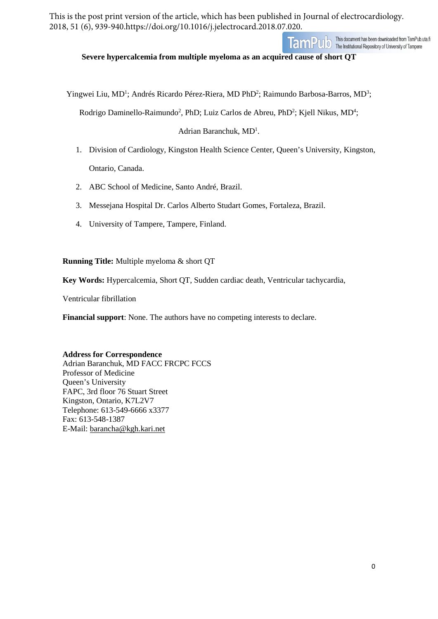This is the post print version of the article, which has been published in Journal of electrocardiology. 2018, 51 (6), 939-940.https://doi.org/10.1016/j.jelectrocard.2018.07.020.



**Severe hypercalcemia from multiple myeloma as an acquired cause of short QT**

Yingwei Liu, MD<sup>1</sup>; Andrés Ricardo Pérez-Riera, MD PhD<sup>2</sup>; Raimundo Barbosa-Barros, MD<sup>3</sup>;

Rodrigo Daminello-Raimundo<sup>2</sup>, PhD; Luiz Carlos de Abreu, PhD<sup>2</sup>; Kjell Nikus, MD<sup>4</sup>;

Adrian Baranchuk, MD<sup>1</sup>.

- 1. Division of Cardiology, Kingston Health Science Center, Queen's University, Kingston, Ontario, Canada.
- 2. ABC School of Medicine, Santo André, Brazil.
- 3. Messejana Hospital Dr. Carlos Alberto Studart Gomes, Fortaleza, Brazil.
- 4. University of Tampere, Tampere, Finland.

**Running Title:** Multiple myeloma & short QT

**Key Words:** Hypercalcemia, Short QT, Sudden cardiac death, Ventricular tachycardia,

Ventricular fibrillation

**Financial support**: None. The authors have no competing interests to declare.

#### **Address for Correspondence**

Adrian Baranchuk, MD FACC FRCPC FCCS Professor of Medicine Queen's University FAPC, 3rd floor 76 Stuart Street Kingston, Ontario, K7L2V7 Telephone: 613-549-6666 x3377 Fax: 613-548-1387 E-Mail: [barancha@kgh.kari.net](mailto:barancha@kgh.kari.net)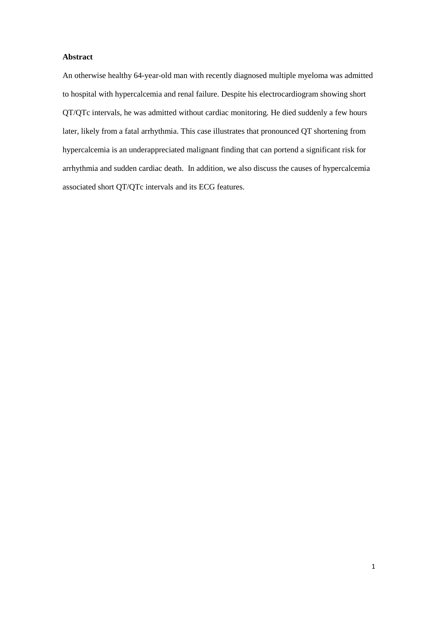## **Abstract**

An otherwise healthy 64-year-old man with recently diagnosed multiple myeloma was admitted to hospital with hypercalcemia and renal failure. Despite his electrocardiogram showing short QT/QTc intervals, he was admitted without cardiac monitoring. He died suddenly a few hours later, likely from a fatal arrhythmia. This case illustrates that pronounced QT shortening from hypercalcemia is an underappreciated malignant finding that can portend a significant risk for arrhythmia and sudden cardiac death. In addition, we also discuss the causes of hypercalcemia associated short QT/QTc intervals and its ECG features.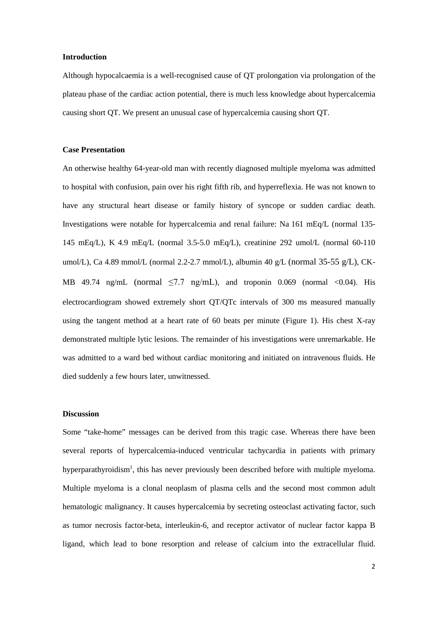### **Introduction**

Although hypocalcaemia is a well-recognised cause of QT prolongation via prolongation of the plateau phase of the cardiac action potential, there is much less knowledge about hypercalcemia causing short QT. We present an unusual case of hypercalcemia causing short QT.

#### **Case Presentation**

An otherwise healthy 64-year-old man with recently diagnosed multiple myeloma was admitted to hospital with confusion, pain over his right fifth rib, and hyperreflexia. He was not known to have any structural heart disease or family history of syncope or sudden cardiac death. Investigations were notable for hypercalcemia and renal failure: Na 161 mEq/L (normal 135- 145 mEq/L), K 4.9 mEq/L (normal 3.5-5.0 mEq/L), creatinine 292 umol/L (normal 60-110 umol/L), Ca 4.89 mmol/L (normal 2.2-2.7 mmol/L), albumin 40 g/L (normal 35-55 g/L), CK-MB 49.74 ng/mL (normal  $\leq$ 7.7 ng/mL), and troponin 0.069 (normal <0.04). His electrocardiogram showed extremely short QT/QTc intervals of 300 ms measured manually using the tangent method at a heart rate of 60 beats per minute (Figure 1). His chest X-ray demonstrated multiple lytic lesions. The remainder of his investigations were unremarkable. He was admitted to a ward bed without cardiac monitoring and initiated on intravenous fluids. He died suddenly a few hours later, unwitnessed.

#### **Discussion**

Some "take-home" messages can be derived from this tragic case. Whereas there have been several reports of hypercalcemia-induced ventricular tachycardia in patients with primary hyperparathyroidism<sup>1</sup>, this has never previously been described before with multiple myeloma. Multiple myeloma is a clonal neoplasm of plasma cells and the second most common adult hematologic malignancy. It causes hypercalcemia by secreting osteoclast activating factor, such as tumor necrosis factor-beta, interleukin-6, and receptor activator of nuclear factor kappa B ligand, which lead to bone resorption and release of calcium into the extracellular fluid.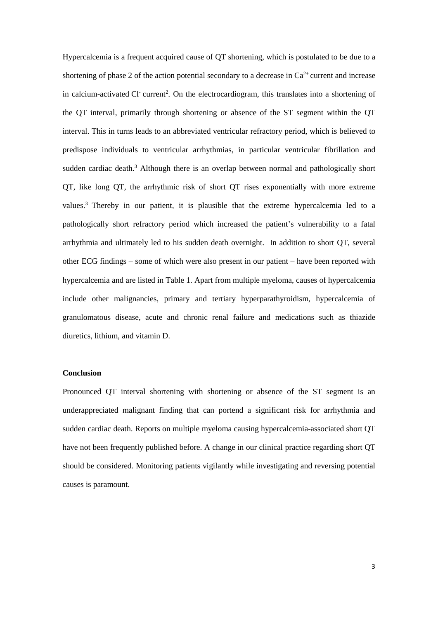Hypercalcemia is a frequent acquired cause of QT shortening, which is postulated to be due to a shortening of phase 2 of the action potential secondary to a decrease in  $Ca^{2+}$  current and increase in calcium-activated Cl<sup>-</sup> current<sup>2</sup>. On the electrocardiogram, this translates into a shortening of the QT interval, primarily through shortening or absence of the ST segment within the QT interval. This in turns leads to an abbreviated ventricular refractory period, which is believed to predispose individuals to ventricular arrhythmias, in particular ventricular fibrillation and sudden cardiac death.<sup>3</sup> Although there is an overlap between normal and pathologically short QT, like long QT, the arrhythmic risk of short QT rises exponentially with more extreme values.<sup>3</sup> Thereby in our patient, it is plausible that the extreme hypercalcemia led to a pathologically short refractory period which increased the patient's vulnerability to a fatal arrhythmia and ultimately led to his sudden death overnight. In addition to short QT, several other ECG findings – some of which were also present in our patient – have been reported with hypercalcemia and are listed in Table 1. Apart from multiple myeloma, causes of hypercalcemia include other malignancies, primary and tertiary hyperparathyroidism, hypercalcemia of granulomatous disease, acute and chronic renal failure and medications such as thiazide diuretics, lithium, and vitamin D.

# **Conclusion**

Pronounced QT interval shortening with shortening or absence of the ST segment is an underappreciated malignant finding that can portend a significant risk for arrhythmia and sudden cardiac death. Reports on multiple myeloma causing hypercalcemia-associated short QT have not been frequently published before. A change in our clinical practice regarding short QT should be considered. Monitoring patients vigilantly while investigating and reversing potential causes is paramount.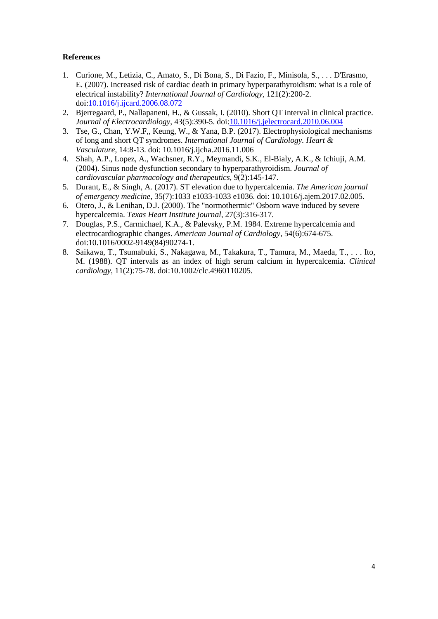# **References**

- 1. Curione, M., Letizia, C., Amato, S., Di Bona, S., Di Fazio, F., Minisola, S., . . . D'Erasmo, E. (2007). Increased risk of cardiac death in primary hyperparathyroidism: what is a role of electrical instability? *International Journal of Cardiology*, 121(2):200-2. doi[:10.1016/j.ijcard.2006.08.072](https://doi.org/10.1016/j.ijcard.2006.08.072)
- 2. Bjerregaard, P., Nallapaneni, H., & Gussak, I. (2010). Short QT interval in clinical practice. *Journal of Electrocardiology*, 43(5):390-5. doi[:10.1016/j.jelectrocard.2010.06.004](about:blank)
- 3. Tse, G., Chan, Y.W.F,, Keung, W., & Yana, B.P. (2017). Electrophysiological mechanisms of long and short QT syndromes. *International Journal of Cardiology. Heart & Vasculature*, 14:8-13. doi: 10.1016/j.ijcha.2016.11.006
- 4. Shah, A.P., Lopez, A., Wachsner, R.Y., Meymandi, S.K., El-Bialy, A.K., & Ichiuji, A.M. (2004). Sinus node dysfunction secondary to hyperparathyroidism. *Journal of cardiovascular pharmacology and therapeutics*, 9(2):145-147.
- 5. Durant, E., & Singh, A. (2017). ST elevation due to hypercalcemia. *The American journal of emergency medicine*, 35(7):1033 e1033-1033 e1036. doi: 10.1016/j.ajem.2017.02.005.
- 6. Otero, J., & Lenihan, D.J. (2000). The "normothermic" Osborn wave induced by severe hypercalcemia. *Texas Heart Institute journal*, 27(3):316-317.
- 7. Douglas, P.S., Carmichael, K.A., & Palevsky, P.M. 1984. Extreme hypercalcemia and electrocardiographic changes. *American Journal of Cardiology*, 54(6):674-675. doi:10.1016/0002-9149(84)90274-1.
- 8. Saikawa, T., Tsumabuki, S., Nakagawa, M., Takakura, T., Tamura, M., Maeda, T., . . . Ito, M. (1988). QT intervals as an index of high serum calcium in hypercalcemia. *Clinical cardiology*, 11(2):75-78. doi:10.1002/clc.4960110205.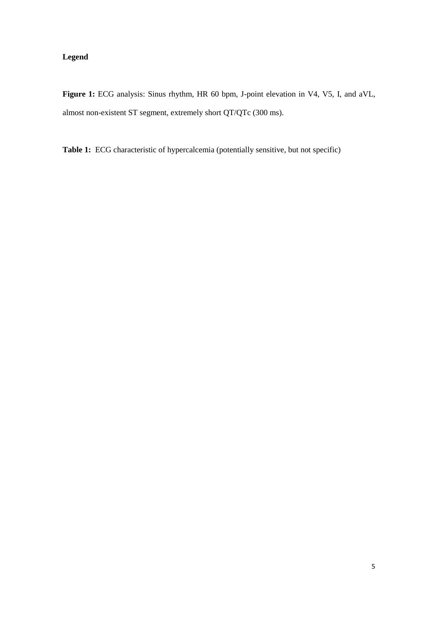# **Legend**

Figure 1: ECG analysis: Sinus rhythm, HR 60 bpm, J-point elevation in V4, V5, I, and aVL, almost non-existent ST segment, extremely short QT/QTc (300 ms).

**Table 1:** ECG characteristic of hypercalcemia (potentially sensitive, but not specific)